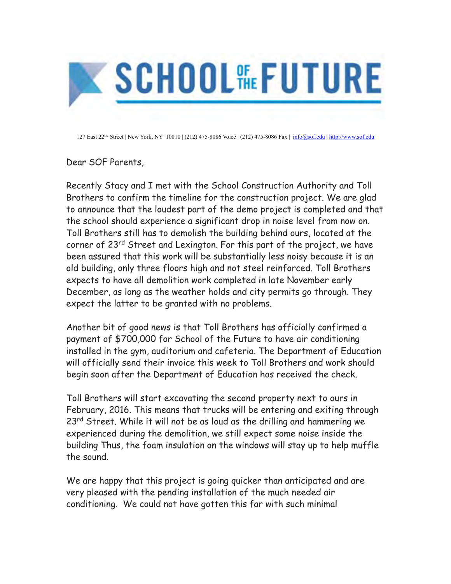

127 East 22<sup>nd</sup> Street | New York, NY 10010 | (212) 475-8086 Voice | (212) 475-8086 Fax | [info@sof.edu](mailto:info@sof.edu) | <http://www.sof.edu>

Dear SOF Parents,

Recently Stacy and I met with the School Construction Authority and Toll Brothers to confirm the timeline for the construction project. We are glad to announce that the loudest part of the demo project is completed and that the school should experience a significant drop in noise level from now on. Toll Brothers still has to demolish the building behind ours, located at the corner of 23<sup>rd</sup> Street and Lexington. For this part of the project, we have been assured that this work will be substantially less noisy because it is an old building, only three floors high and not steel reinforced. Toll Brothers expects to have all demolition work completed in late November early December, as long as the weather holds and city permits go through. They expect the latter to be granted with no problems.

Another bit of good news is that Toll Brothers has officially confirmed a payment of \$700,000 for School of the Future to have air conditioning installed in the gym, auditorium and cafeteria. The Department of Education will officially send their invoice this week to Toll Brothers and work should begin soon after the Department of Education has received the check.

Toll Brothers will start excavating the second property next to ours in February, 2016. This means that trucks will be entering and exiting through 23<sup>rd</sup> Street. While it will not be as loud as the drilling and hammering we experienced during the demolition, we still expect some noise inside the building Thus, the foam insulation on the windows will stay up to help muffle the sound.

We are happy that this project is going quicker than anticipated and are very pleased with the pending installation of the much needed air conditioning. We could not have gotten this far with such minimal